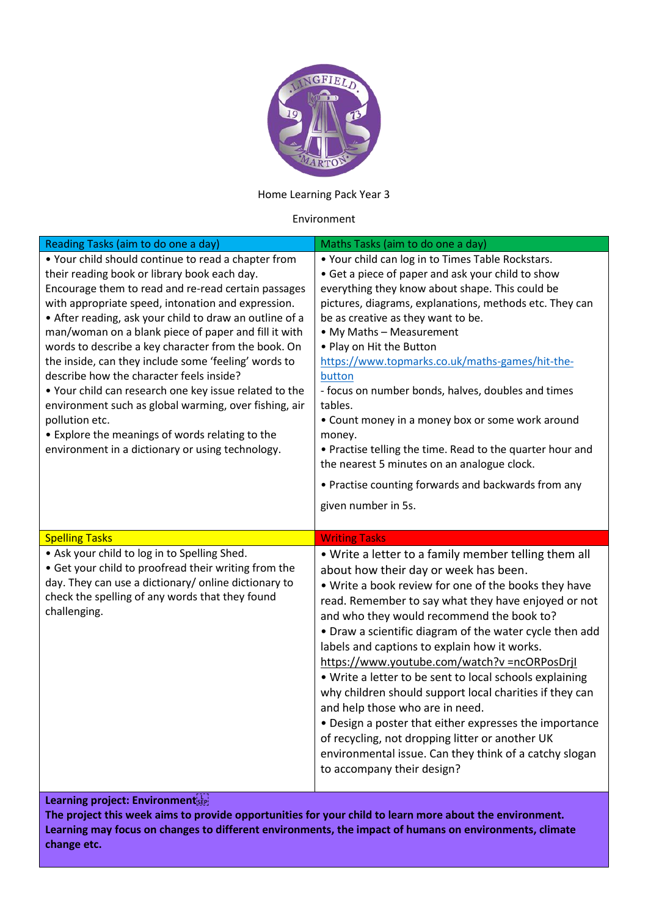

Home Learning Pack Year 3

## Environment

| Reading Tasks (aim to do one a day)                                                                                                                                                                                                                                                                                                                                                                                                                                                                                                                                                                                                                                                                                                        | Maths Tasks (aim to do one a day)                                                                                                                                                                                                                                                                                                                                                                                                                                                                                                                                                                                                                                                                                                                                                  |
|--------------------------------------------------------------------------------------------------------------------------------------------------------------------------------------------------------------------------------------------------------------------------------------------------------------------------------------------------------------------------------------------------------------------------------------------------------------------------------------------------------------------------------------------------------------------------------------------------------------------------------------------------------------------------------------------------------------------------------------------|------------------------------------------------------------------------------------------------------------------------------------------------------------------------------------------------------------------------------------------------------------------------------------------------------------------------------------------------------------------------------------------------------------------------------------------------------------------------------------------------------------------------------------------------------------------------------------------------------------------------------------------------------------------------------------------------------------------------------------------------------------------------------------|
| • Your child should continue to read a chapter from<br>their reading book or library book each day.<br>Encourage them to read and re-read certain passages<br>with appropriate speed, intonation and expression.<br>• After reading, ask your child to draw an outline of a<br>man/woman on a blank piece of paper and fill it with<br>words to describe a key character from the book. On<br>the inside, can they include some 'feeling' words to<br>describe how the character feels inside?<br>. Your child can research one key issue related to the<br>environment such as global warming, over fishing, air<br>pollution etc.<br>• Explore the meanings of words relating to the<br>environment in a dictionary or using technology. | . Your child can log in to Times Table Rockstars.<br>• Get a piece of paper and ask your child to show<br>everything they know about shape. This could be<br>pictures, diagrams, explanations, methods etc. They can<br>be as creative as they want to be.<br>• My Maths - Measurement<br>• Play on Hit the Button<br>https://www.topmarks.co.uk/maths-games/hit-the-<br>button<br>- focus on number bonds, halves, doubles and times<br>tables.<br>• Count money in a money box or some work around<br>money.<br>• Practise telling the time. Read to the quarter hour and<br>the nearest 5 minutes on an analogue clock.<br>• Practise counting forwards and backwards from any<br>given number in 5s.                                                                           |
| <b>Spelling Tasks</b>                                                                                                                                                                                                                                                                                                                                                                                                                                                                                                                                                                                                                                                                                                                      | <b>Writing Tasks</b>                                                                                                                                                                                                                                                                                                                                                                                                                                                                                                                                                                                                                                                                                                                                                               |
| . Ask your child to log in to Spelling Shed.<br>• Get your child to proofread their writing from the<br>day. They can use a dictionary/ online dictionary to<br>check the spelling of any words that they found<br>challenging.                                                                                                                                                                                                                                                                                                                                                                                                                                                                                                            | • Write a letter to a family member telling them all<br>about how their day or week has been.<br>. Write a book review for one of the books they have<br>read. Remember to say what they have enjoyed or not<br>and who they would recommend the book to?<br>• Draw a scientific diagram of the water cycle then add<br>labels and captions to explain how it works.<br>https://www.youtube.com/watch?v =ncORPosDrjl<br>. Write a letter to be sent to local schools explaining<br>why children should support local charities if they can<br>and help those who are in need.<br>• Design a poster that either expresses the importance<br>of recycling, not dropping litter or another UK<br>environmental issue. Can they think of a catchy slogan<br>to accompany their design? |

## **Learning project: Environment**

**The project this week aims to provide opportunities for your child to learn more about the environment. Learning may focus on changes to different environments, the impact of humans on environments, climate change etc.**